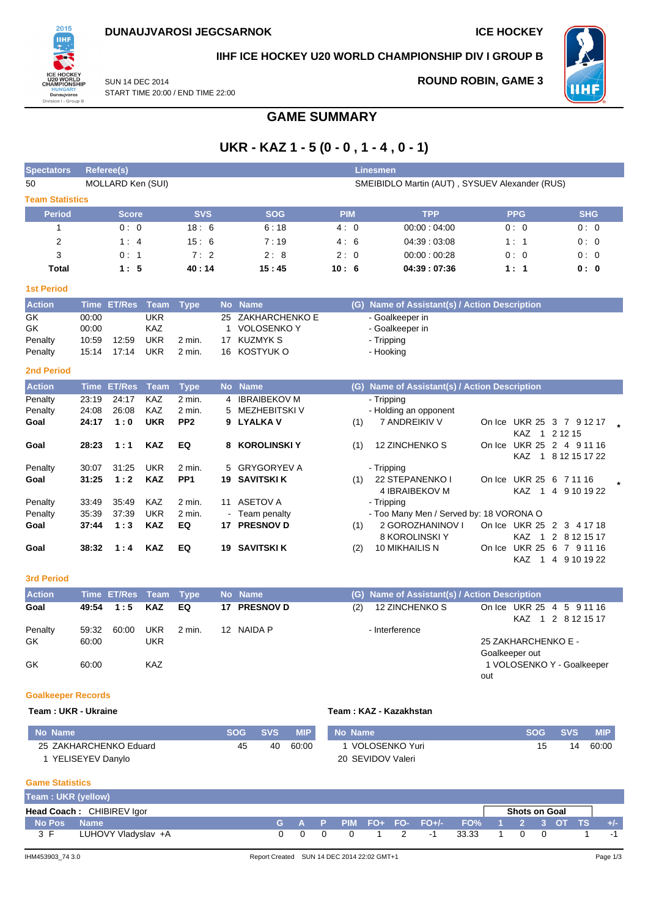

## **IIHF ICE HOCKEY U20 WORLD CHAMPIONSHIP DIV I GROUP B**

SUN 14 DEC 2014 START TIME 20:00 / END TIME 22:00

## **ROUND ROBIN, GAME 3**



**GAME SUMMARY**

# **UKR - KAZ 1 - 5 (0 - 0 , 1 - 4 , 0 - 1)**

| <b>Spectators</b>              |                                  | <b>Referee(s)</b>            |                                               |                           |                     |                                                                      |            |     | <b>Linesmen</b>                                               |                              |                                              |  |
|--------------------------------|----------------------------------|------------------------------|-----------------------------------------------|---------------------------|---------------------|----------------------------------------------------------------------|------------|-----|---------------------------------------------------------------|------------------------------|----------------------------------------------|--|
| 50                             |                                  | MOLLARD Ken (SUI)            |                                               |                           |                     |                                                                      |            |     | SMEIBIDLO Martin (AUT), SYSUEV Alexander (RUS)                |                              |                                              |  |
| <b>Team Statistics</b>         |                                  |                              |                                               |                           |                     |                                                                      |            |     |                                                               |                              |                                              |  |
| <b>Period</b>                  |                                  | <b>Score</b>                 |                                               | <b>SVS</b>                |                     | <b>SOG</b>                                                           | <b>PIM</b> |     | <b>TPP</b>                                                    | <b>PPG</b>                   | <b>SHG</b>                                   |  |
| 1                              |                                  | 0:0                          |                                               | 18:6                      |                     | 6:18                                                                 | 4:0        |     | 00:00:04:00                                                   | 0:0                          | 0:0                                          |  |
| $\overline{2}$                 |                                  | 1:4                          |                                               | 15:6                      |                     | 7:19                                                                 | 4:6        |     | 04:39:03:08                                                   | 1:1                          | 0:0                                          |  |
| 3                              |                                  | 0:1                          |                                               | 7:2                       |                     | 2:8                                                                  | 2:0        |     | 00:00:00:28                                                   | 0:0                          | 0:0                                          |  |
| <b>Total</b>                   |                                  | 1:5                          |                                               | 40:14                     |                     | 15:45                                                                | 10:6       |     | 04:39:07:36                                                   | 1:1                          | 0:0                                          |  |
| <b>1st Period</b>              |                                  |                              |                                               |                           |                     |                                                                      |            |     |                                                               |                              |                                              |  |
| <b>Action</b>                  |                                  | Time ET/Res Team             |                                               | <b>Type</b>               | <b>No</b>           | <b>Name</b>                                                          |            | (G) | Name of Assistant(s) / Action Description                     |                              |                                              |  |
| GK<br>GK<br>Penalty<br>Penalty | 00:00<br>00:00<br>10:59<br>15:14 | 12:59<br>17:14               | <b>UKR</b><br>KAZ<br><b>UKR</b><br><b>UKR</b> | 2 min.<br>2 min.          | 25<br>1<br>17<br>16 | ZAKHARCHENKO E<br><b>VOLOSENKO Y</b><br><b>KUZMYK S</b><br>KOSTYUK O |            |     | - Goalkeeper in<br>- Goalkeeper in<br>- Tripping<br>- Hooking |                              |                                              |  |
| <b>2nd Period</b>              |                                  |                              |                                               |                           |                     |                                                                      |            |     |                                                               |                              |                                              |  |
| <b>Action</b>                  |                                  | <b>Time ET/Res</b>           | Team                                          | <b>Type</b>               |                     | No Name                                                              |            | (G) | Name of Assistant(s) / Action Description                     |                              |                                              |  |
| Penalty<br>Penalty             | 23:19<br>24:08                   | 24:17<br>26:08               | <b>KAZ</b><br><b>KAZ</b>                      | 2 min.<br>$2$ min.        | 4<br>5              | <b>IBRAIBEKOV M</b><br><b>MEZHEBITSKI V</b>                          |            |     | - Tripping<br>- Holding an opponent                           |                              |                                              |  |
| Goal                           | 24:17                            | 1:0                          | <b>UKR</b>                                    | PP <sub>2</sub>           | 9                   | <b>LYALKAV</b>                                                       |            | (1) | 7 ANDREIKIV V                                                 | KAZ <sub>1</sub>             | On Ice UKR 25 3 7 9 12 17<br>2 1 2 1 5       |  |
| Goal                           | 28:23                            | 1:1                          | <b>KAZ</b>                                    | EQ                        | 8                   | <b>KOROLINSKI Y</b>                                                  |            | (1) | 12 ZINCHENKO S                                                | <b>KAZ</b><br>$\overline{1}$ | On Ice UKR 25 2 4 9 11 16<br>8 12 15 17 22   |  |
| Penalty<br>Goal                | 30:07<br>31:25                   | 31:25<br>1:2                 | <b>UKR</b><br><b>KAZ</b>                      | 2 min.<br>PP <sub>1</sub> | 5<br>19             | <b>GRYGORYEV A</b><br><b>SAVITSKI K</b>                              |            | (1) | - Tripping<br>22 STEPANENKO I<br>4 IBRAIBEKOV M               | <b>KAZ</b><br>$\overline{1}$ | On Ice UKR 25 6 7 11 16<br>4 9 10 19 22      |  |
| Penalty                        | 33:49                            | 35:49                        | <b>KAZ</b>                                    | $2$ min.                  | 11                  | <b>ASETOV A</b>                                                      |            |     | - Tripping                                                    |                              |                                              |  |
| Penalty                        | 35:39                            | 37:39                        | <b>UKR</b>                                    | 2 min.                    |                     | Team penalty                                                         |            |     | - Too Many Men / Served by: 18 VORONA O                       |                              |                                              |  |
| Goal                           | 37:44                            | 1:3                          | <b>KAZ</b>                                    | EQ                        | 17                  | <b>PRESNOV D</b>                                                     |            | (1) | 2 GOROZHANINOV I<br>8 KOROLINSKI Y                            | KAZ <sub>1</sub>             | On Ice UKR 25 2 3 4 17 18<br>2 8 1 2 1 5 1 7 |  |
| Goal                           | 38:32                            | 1:4                          | <b>KAZ</b>                                    | EQ                        |                     | <b>19 SAVITSKI K</b>                                                 |            | (2) | 10 MIKHAILIS N                                                | KAZ 1                        | On Ice UKR 25 6 7 9 11 16<br>4 9 10 19 22    |  |
| <b>3rd Period</b>              |                                  |                              |                                               |                           |                     |                                                                      |            |     |                                                               |                              |                                              |  |
| <b>Action</b>                  |                                  | Time <b>ET/Des</b> Team Tune |                                               |                           |                     | No Name                                                              |            |     | (C) Name of Accident(c) / Action Description                  |                              |                                              |  |

| ----------     |                |                       |                   |        |              |     |                                               |                     |  |                                                 |
|----------------|----------------|-----------------------|-------------------|--------|--------------|-----|-----------------------------------------------|---------------------|--|-------------------------------------------------|
| <b>Action</b>  |                | Time ET/Res Team Type |                   |        | No Name      |     | (G) Name of Assistant(s) / Action Description |                     |  |                                                 |
| Goal           |                | 49:54 1:5 KAZ         |                   | EQ     | 17 PRESNOV D | (2) | 12 ZINCHENKO S                                |                     |  | On Ice UKR 25 4 5 9 11 16<br>KAZ 1 2 8 12 15 17 |
| Penalty<br>GK. | 59.32<br>60:00 | 60:00                 | <b>UKR</b><br>UKR | 2 min. | 12 NAIDA P   |     | - Interference                                | 25 ZAKHARCHENKO E - |  |                                                 |
|                |                |                       |                   |        |              |     |                                               | Goalkeeper out      |  |                                                 |
| GK             | 60:00          |                       | <b>KAZ</b>        |        |              |     |                                               |                     |  | 1 VOLOSENKO Y - Goalkeeper                      |

### **Goalkeeper Records**

### **Team : UKR - Ukraine Team : KAZ - Kazakhstan**

| ⊦No Name \             | <b>SOG</b> | SVS <b>SVS</b> | <b>MIP</b> | No Name           | <b>SOG</b> | <b>SVS</b> | <b>MIP</b> |
|------------------------|------------|----------------|------------|-------------------|------------|------------|------------|
| 25 ZAKHARCHENKO Eduard | 45         | 40             | 60:00      | VOLOSENKO Yuri    | 15         | 14         | 60:00      |
| YELISEYEV Danylo       |            |                |            | 20 SEVIDOV Valeri |            |            |            |

## **Game Statistics**

| Team: UKR (yellow) |                           |      |  |                      |  |                                           |                                                         |                      |  |       |
|--------------------|---------------------------|------|--|----------------------|--|-------------------------------------------|---------------------------------------------------------|----------------------|--|-------|
|                    | Head Coach: CHIBIREV Igor |      |  |                      |  |                                           |                                                         | <b>Shots on Goal</b> |  |       |
| <b>No Pos Name</b> |                           |      |  |                      |  | G A P PIM FO+ FO- FO+/- FO% 1 2 3 OT TS ' |                                                         |                      |  | $+/-$ |
| 3 F                | LUHOVY Vladyslav +A       | ົດ ດ |  | $1 \quad 2 \quad -1$ |  | 33.33                                     | $\begin{array}{ccc} & & & 1 & & \mathbf{0} \end{array}$ |                      |  |       |

out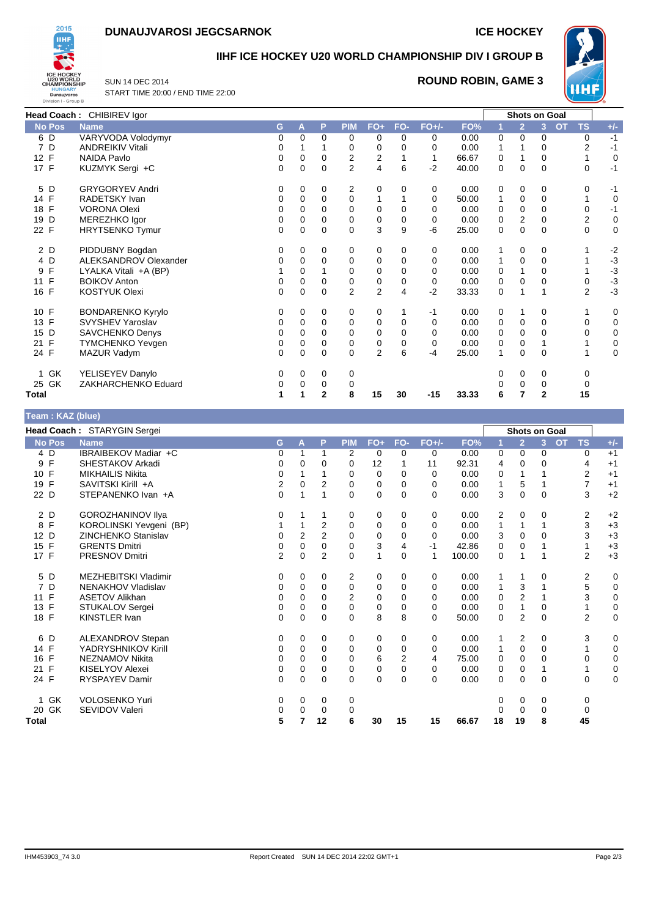# **DUNAUJVAROSI JEGCSARNOK ICE HOCKEY**



## **IIHF ICE HOCKEY U20 WORLD CHAMPIONSHIP DIV I GROUP B**

SUN 14 DEC 2014 START TIME 20:00 / END TIME 22:00

## **ROUND ROBIN, GAME 3**



|                    | Head Coach: CHIBIREV Igor |   |          |          |                |                         |             |          |       | <b>Shots on Goal</b> |                |              |           |                |             |
|--------------------|---------------------------|---|----------|----------|----------------|-------------------------|-------------|----------|-------|----------------------|----------------|--------------|-----------|----------------|-------------|
| <b>No Pos</b>      | <b>Name</b>               | G | A        | P        | <b>PIM</b>     | $FO+$                   | FO-         | $FO+/-$  | FO%   |                      | $\overline{2}$ | 3            | <b>OT</b> | <b>TS</b>      | $+/-$       |
| 6 D                | VARYVODA Volodymyr        | 0 | $\Omega$ | $\Omega$ | 0              | 0                       | $\Omega$    | 0        | 0.00  | 0                    | 0              | 0            |           | 0              | $-1$        |
| 7 D                | <b>ANDREIKIV Vitali</b>   | 0 |          |          | 0              | 0                       | 0           | 0        | 0.00  | 1                    |                | 0            |           | 2              | $-1$        |
| 12 F               | NAIDA Pavlo               | 0 | $\Omega$ | 0        | $\mathbf 2$    | $\overline{\mathbf{c}}$ |             |          | 66.67 | 0                    |                | 0            |           |                | 0           |
| 17 F               | KUZMYK Sergi +C           | 0 | 0        | $\Omega$ | $\overline{2}$ | 4                       | 6           | $-2$     | 40.00 | 0                    | $\Omega$       | 0            |           | $\Omega$       | $-1$        |
| 5 D                | <b>GRYGORYEV Andri</b>    | 0 | 0        | 0        | 2              | 0                       | 0           | 0        | 0.00  | 0                    | 0              | 0            |           | 0              | $-1$        |
| 14 F               | RADETSKY Ivan             | 0 | 0        | 0        | 0              |                         |             | $\Omega$ | 50.00 | 1                    | 0              | $\mathbf 0$  |           |                | 0           |
| 18 F               | <b>VORONA Olexi</b>       | 0 | 0        | 0        | 0              | 0                       | 0           | 0        | 0.00  | 0                    | 0              | 0            |           | 0              | $-1$        |
| D<br>19            | MEREZHKO Igor             | 0 | 0        | 0        | 0              | 0                       | 0           | 0        | 0.00  | 0                    | 2              | 0            |           | $\overline{2}$ | $\mathbf 0$ |
| 22 F               | <b>HRYTSENKO Tymur</b>    | 0 | $\Omega$ | 0        | $\Omega$       | 3                       | 9           | -6       | 25.00 | 0                    | 0              | $\Omega$     |           | $\Omega$       | $\mathbf 0$ |
| 2 D                | PIDDUBNY Bogdan           | 0 | 0        | 0        | 0              | 0                       | 0           | 0        | 0.00  |                      | 0              | 0            |           |                | $-2$        |
| 4 D                | ALEKSANDROV Olexander     | 0 | 0        | 0        | 0              | 0                       | 0           | 0        | 0.00  | 1                    | 0              | $\mathbf 0$  |           |                | $-3$        |
| F<br>9             | LYALKA Vitali +A (BP)     |   | $\Omega$ |          | $\Omega$       | 0                       | 0           | $\Omega$ | 0.00  | 0                    |                | 0            |           |                | $-3$        |
| $\mathsf{F}$<br>11 | <b>BOIKOV Anton</b>       | 0 | 0        | 0        | 0              | 0                       | 0           | 0        | 0.00  | 0                    | 0              | $\Omega$     |           | 0              | $-3$        |
| 16 F               | <b>KOSTYUK Olexi</b>      | 0 | $\Omega$ | $\Omega$ | $\overline{2}$ | $\overline{2}$          | 4           | $-2$     | 33.33 | 0                    |                |              |           | $\overline{2}$ | $-3$        |
| 10 F               | <b>BONDARENKO Kyrylo</b>  | 0 | 0        | 0        | 0              | 0                       |             | -1       | 0.00  | 0                    |                | 0            |           |                | 0           |
| 13 F               | SVYSHEV Yaroslav          | 0 | $\Omega$ | 0        | 0              | 0                       | 0           | 0        | 0.00  | 0                    | 0              | 0            |           | 0              | $\mathbf 0$ |
| 15 D               | SAVCHENKO Denys           | 0 | $\Omega$ | $\Omega$ | $\Omega$       | $\mathbf 0$             | 0           | $\Omega$ | 0.00  | 0                    | 0              | $\Omega$     |           | $\Omega$       | 0           |
| $\mathsf{F}$<br>21 | <b>TYMCHENKO Yevgen</b>   | 0 | 0        | 0        | 0              | 0                       | $\mathbf 0$ | 0        | 0.00  | 0                    | 0              |              |           |                | 0           |
| 24 F               | MAZUR Vadym               | 0 | $\Omega$ | $\Omega$ | $\Omega$       | $\overline{2}$          | 6           | $-4$     | 25.00 | 1                    | $\Omega$       | $\Omega$     |           |                | $\mathbf 0$ |
| 1 GK               | YELISEYEV Danylo          | 0 | 0        | 0        | 0              |                         |             |          |       | 0                    | 0              | 0            |           | 0              |             |
| 25 GK              | ZAKHARCHENKO Eduard       | 0 | $\Omega$ | 0        | 0              |                         |             |          |       |                      | 0              | 0            |           | 0              |             |
| Total              |                           | 1 |          | 2        | 8              | 15                      | 30          | $-15$    | 33.33 | 6                    |                | $\mathbf{2}$ |           | 15             |             |

| Team: KAZ (blue)   |                             |                |          |                |                |              |                |          |        |             |                |                |                        |             |
|--------------------|-----------------------------|----------------|----------|----------------|----------------|--------------|----------------|----------|--------|-------------|----------------|----------------|------------------------|-------------|
|                    | Head Coach: STARYGIN Sergei |                |          |                |                |              |                |          |        |             | Shots on Goal  |                |                        |             |
| No Pos             | <b>Name</b>                 | G              | A        | P              | <b>PIM</b>     | $FO+$        | FO-            | $FO+/-$  | FO%    |             | $\overline{2}$ | 3 <sup>2</sup> | <b>TS</b><br><b>OT</b> | $+/-$       |
| 4 D                | IBRAIBEKOV Madiar +C        | 0              | 1        | 1              | 2              | 0            | 0              | 0        | 0.00   | 0           | 0              | 0              | 0                      | $+1$        |
| $\mathsf{F}$<br>9  | SHESTAKOV Arkadi            | 0              | $\Omega$ | $\Omega$       | 0              | 12           |                | 11       | 92.31  | 4           | 0              | 0              | 4                      | $+1$        |
| 10 F               | <b>MIKHAILIS Nikita</b>     | 0              |          |                | 0              | 0            | 0              | $\Omega$ | 0.00   | 0           |                |                | 2                      | $+1$        |
| 19 F               | SAVITSKI Kirill +A          | 2              | 0        | 2              | 0              | 0            | 0              | 0        | 0.00   | 1           | 5              |                | 7                      | $+1$        |
| 22 D               | STEPANENKO Ivan +A          | $\overline{0}$ |          |                | $\Omega$       | $\mathbf 0$  | $\Omega$       | $\Omega$ | 0.00   | 3           | $\Omega$       | $\Omega$       | 3                      | $+2$        |
| 2 D                | GOROZHANINOV Ilya           | 0              |          |                | 0              | 0            | 0              | 0        | 0.00   | 2           | 0              | 0              | 2                      | $+2$        |
| 8 F                | KOROLINSKI Yevgeni (BP)     | 1              |          | $\overline{2}$ | 0              | 0            | $\Omega$       | 0        | 0.00   | 1           | 1              |                | 3                      | $+3$        |
| 12 D               | <b>ZINCHENKO Stanislav</b>  | 0              | 2        | $\overline{2}$ | 0              | 0            | 0              | $\Omega$ | 0.00   | 3           | 0              | 0              | 3                      | $+3$        |
| 15 F               | <b>GRENTS Dmitri</b>        | 0              | 0        | 0              | $\mathbf 0$    | 3            | 4              | $-1$     | 42.86  | 0           | 0              |                | 1                      | $+3$        |
| 17 F               | <b>PRESNOV Dmitri</b>       | $\overline{2}$ | $\Omega$ | $\overline{2}$ | $\Omega$       | $\mathbf{1}$ | $\Omega$       | 1        | 100.00 | $\mathbf 0$ | 1              |                | 2                      | $+3$        |
| 5 D                | <b>MEZHEBITSKI Vladimir</b> | 0              | 0        | 0              | 2              | 0            | 0              | 0        | 0.00   | 1           | 1              | 0              | 2                      | 0           |
| 7 D                | NENAKHOV Vladislav          | 0              | 0        | 0              | 0              | 0            | $\Omega$       | $\Omega$ | 0.00   | 1           | 3              |                | 5                      | 0           |
| $\mathsf{F}$<br>11 | <b>ASETOV Alikhan</b>       | 0              | 0        | $\Omega$       | $\overline{2}$ | 0            | 0              | $\Omega$ | 0.00   | 0           | $\overline{2}$ |                | 3                      | 0           |
| 13 F               | <b>STUKALOV Sergei</b>      | 0              | 0        | $\Omega$       | 0              | 0            | $\Omega$       | $\Omega$ | 0.00   | 0           | 1              | 0              |                        | 0           |
| 18 F               | KINSTLER Ivan               | 0              | $\Omega$ | 0              | $\Omega$       | 8            | 8              | $\Omega$ | 50.00  | $\Omega$    | $\overline{2}$ | $\Omega$       | $\overline{2}$         | $\mathbf 0$ |
| 6 D                | ALEXANDROV Stepan           | 0              | 0        | 0              | 0              | 0            | 0              | 0        | 0.00   | 1           | 2              | 0              | 3                      | 0           |
| $\mathsf{F}$<br>14 | YADRYSHNIKOV Kirill         | 0              | 0        | 0              | 0              | 0            | 0              | 0        | 0.00   | 1           | 0              | 0              |                        | $\mathbf 0$ |
| 16 F               | <b>NEZNAMOV Nikita</b>      | 0              | $\Omega$ | 0              | $\Omega$       | 6            | $\overline{2}$ | 4        | 75.00  | 0           | $\Omega$       | $\Omega$       | 0                      | 0           |
| $\mathsf{F}$<br>21 | KISELYOV Alexei             | 0              | 0        | 0              | 0              | 0            | 0              | 0        | 0.00   | 0           | 0              |                |                        | 0           |
| 24 F               | RYSPAYEV Damir              | 0              | $\Omega$ | $\Omega$       | $\Omega$       | $\Omega$     | $\Omega$       | $\Omega$ | 0.00   | $\Omega$    | $\Omega$       | $\Omega$       | $\Omega$               | $\mathbf 0$ |
| GK<br>1.           | <b>VOLOSENKO Yuri</b>       | 0              | 0        | 0              | 0              |              |                |          |        | 0           | 0              | 0              | 0                      |             |
| 20 GK              | <b>SEVIDOV Valeri</b>       | 0              | 0        | 0              | 0              |              |                |          |        | ∩           | $\Omega$       | 0              | 0                      |             |
| Total              |                             | 5              |          | 12             | 6              | 30           | 15             | 15       | 66.67  | 18          | 19             | 8              | 45                     |             |